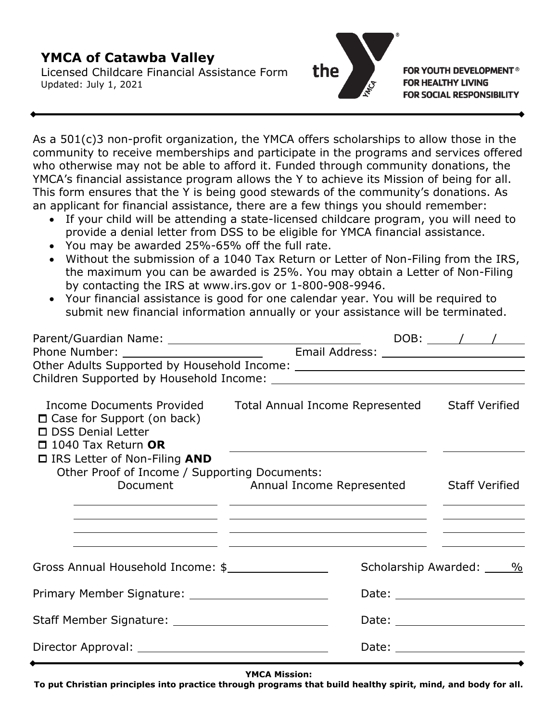## **YMCA of Catawba Valley**

Licensed Childcare Financial Assistance Form Updated: July 1, 2021



**FOR YOUTH DEVELOPMENT<sup>®</sup> FOR HEALTHY LIVING FOR SOCIAL RESPONSIBILITY** 

As a 501(c)3 non-profit organization, the YMCA offers scholarships to allow those in the community to receive memberships and participate in the programs and services offered who otherwise may not be able to afford it. Funded through community donations, the YMCA's financial assistance program allows the Y to achieve its Mission of being for all. This form ensures that the Y is being good stewards of the community's donations. As an applicant for financial assistance, there are a few things you should remember:

- If your child will be attending a state-licensed childcare program, you will need to provide a denial letter from DSS to be eligible for YMCA financial assistance.
- You may be awarded 25%-65% off the full rate.
- Without the submission of a 1040 Tax Return or Letter of Non-Filing from the IRS, the maximum you can be awarded is 25%. You may obtain a Letter of Non-Filing by contacting the IRS at www.irs.gov or 1-800-908-9946.
- Your financial assistance is good for one calendar year. You will be required to submit new financial information annually or your assistance will be terminated.

|                                                                                                                    |                                                                                                                                                                           |                         | DOB: $\sqrt{1}$                                |  |
|--------------------------------------------------------------------------------------------------------------------|---------------------------------------------------------------------------------------------------------------------------------------------------------------------------|-------------------------|------------------------------------------------|--|
|                                                                                                                    |                                                                                                                                                                           |                         |                                                |  |
| Income Documents Provided<br>$\Box$ Case for Support (on back)<br>□ DSS Denial Letter<br>$\Box$ 1040 Tax Return OR | Total Annual Income Represented Staff Verified<br><u> 1980 - Andrea Andrew Maria (b. 1980)</u>                                                                            |                         |                                                |  |
| $\Box$ IRS Letter of Non-Filing AND<br>Other Proof of Income / Supporting Documents:                               | Document Manual Income Represented Staff Verified<br><u> 1989 - Andrea Santa Alemania, amerikana amerikana amerikana amerikana amerikana amerikana amerikana amerikan</u> |                         | <u>and the state of the state of the state</u> |  |
| Gross Annual Household Income: \$                                                                                  | <u> 1990 - Jan James Alexandro (h. 1900).</u><br><u> 1989 - Andrea Santa Alemania (h. 1989).</u>                                                                          | Scholarship Awarded: 16 |                                                |  |
|                                                                                                                    |                                                                                                                                                                           |                         |                                                |  |
|                                                                                                                    |                                                                                                                                                                           |                         |                                                |  |
|                                                                                                                    |                                                                                                                                                                           |                         |                                                |  |

**YMCA Mission:**

**To put Christian principles into practice through programs that build healthy spirit, mind, and body for all.**